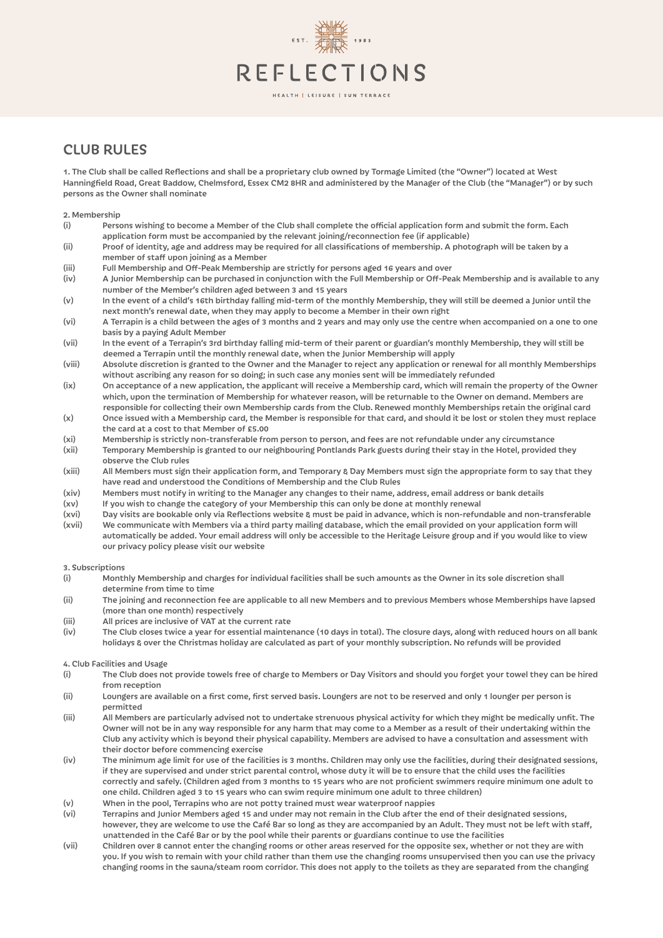# REFLECTIONS

### HEALTH | LEISURE | SUN TERRACE

# CLUB RULES

1. The Club shall be called Reflections and shall be a proprietary club owned by Tormage Limited (the "Owner") located at West Hanningfield Road, Great Baddow, Chelmsford, Essex CM2 8HR and administered by the Manager of the Club (the "Manager") or by such persons as the Owner shall nominate

2. Membership

- (i) Persons wishing to become a Member of the Club shall complete the official application form and submit the form. Each application form must be accompanied by the relevant joining/reconnection fee (if applicable)
- (ii) Proof of identity, age and address may be required for all classifications of membership. A photograph will be taken by a member of staff upon joining as a Member
- (iii) Full Membership and Off-Peak Membership are strictly for persons aged 16 years and over
- (iv) A Junior Membership can be purchased in conjunction with the Full Membership or Off-Peak Membership and is available to any number of the Member's children aged between 3 and 15 years
- (v) In the event of a child's 16th birthday falling mid-term of the monthly Membership, they will still be deemed a Junior until the next month's renewal date, when they may apply to become a Member in their own right
- (vi) A Terrapin is a child between the ages of 3 months and 2 years and may only use the centre when accompanied on a one to one basis by a paying Adult Member
- (vii) In the event of a Terrapin's 3rd birthday falling mid-term of their parent or guardian's monthly Membership, they will still be deemed a Terrapin until the monthly renewal date, when the Junior Membership will apply
- (viii) Absolute discretion is granted to the Owner and the Manager to reject any application or renewal for all monthly Memberships without ascribing any reason for so doing; in such case any monies sent will be immediately refunded
- (ix) On acceptance of a new application, the applicant will receive a Membership card, which will remain the property of the Owner which, upon the termination of Membership for whatever reason, will be returnable to the Owner on demand. Members are responsible for collecting their own Membership cards from the Club. Renewed monthly Memberships retain the original card
- (x) Once issued with a Membership card, the Member is responsible for that card, and should it be lost or stolen they must replace the card at a cost to that Member of £5.00
- (xi) Membership is strictly non-transferable from person to person, and fees are not refundable under any circumstance
- (xii) Temporary Membership is granted to our neighbouring Pontlands Park guests during their stay in the Hotel, provided they observe the Club rules
- (xiii) All Members must sign their application form, and Temporary & Day Members must sign the appropriate form to say that they have read and understood the Conditions of Membership and the Club Rules
- (xiv) Members must notify in writing to the Manager any changes to their name, address, email address or bank details
- (xv) If you wish to change the category of your Membership this can only be done at monthly renewal
- (xvi) Day visits are bookable only via Reflections website & must be paid in advance, which is non-refundable and non-transferable
- (xvii) We communicate with Members via a third party mailing database, which the email provided on your application form will automatically be added. Your email address will only be accessible to the Heritage Leisure group and if you would like to view our privacy policy please visit our website

3. Subscriptions

- (i) Monthly Membership and charges for individual facilities shall be such amounts as the Owner in its sole discretion shall determine from time to time
- (ii) The joining and reconnection fee are applicable to all new Members and to previous Members whose Memberships have lapsed (more than one month) respectively
- (iii) All prices are inclusive of VAT at the current rate
- (iv) The Club closes twice a year for essential maintenance (10 days in total). The closure days, along with reduced hours on all bank holidays & over the Christmas holiday are calculated as part of your monthly subscription. No refunds will be provided

# 4. Club Facilities and Usage

- (i) The Club does not provide towels free of charge to Members or Day Visitors and should you forget your towel they can be hired from reception
- (ii) Loungers are available on a first come, first served basis. Loungers are not to be reserved and only 1 lounger per person is permitted
- (iii) All Members are particularly advised not to undertake strenuous physical activity for which they might be medically unfit. The Owner will not be in any way responsible for any harm that may come to a Member as a result of their undertaking within the Club any activity which is beyond their physical capability. Members are advised to have a consultation and assessment with their doctor before commencing exercise
- (iv) The minimum age limit for use of the facilities is 3 months. Children may only use the facilities, during their designated sessions, if they are supervised and under strict parental control, whose duty it will be to ensure that the child uses the facilities correctly and safely. (Children aged from 3 months to 15 years who are not proficient swimmers require minimum one adult to one child. Children aged 3 to 15 years who can swim require minimum one adult to three children)
- (v) When in the pool, Terrapins who are not potty trained must wear waterproof nappies
- (vi) Terrapins and Junior Members aged 15 and under may not remain in the Club after the end of their designated sessions, however, they are welcome to use the Café Bar so long as they are accompanied by an Adult. They must not be left with staff, unattended in the Café Bar or by the pool while their parents or guardians continue to use the facilities
- Children over 8 cannot enter the changing rooms or other areas reserved for the opposite sex, whether or not they are with you. If you wish to remain with your child rather than them use the changing rooms unsupervised then you can use the privacy changing rooms in the sauna/steam room corridor. This does not apply to the toilets as they are separated from the changing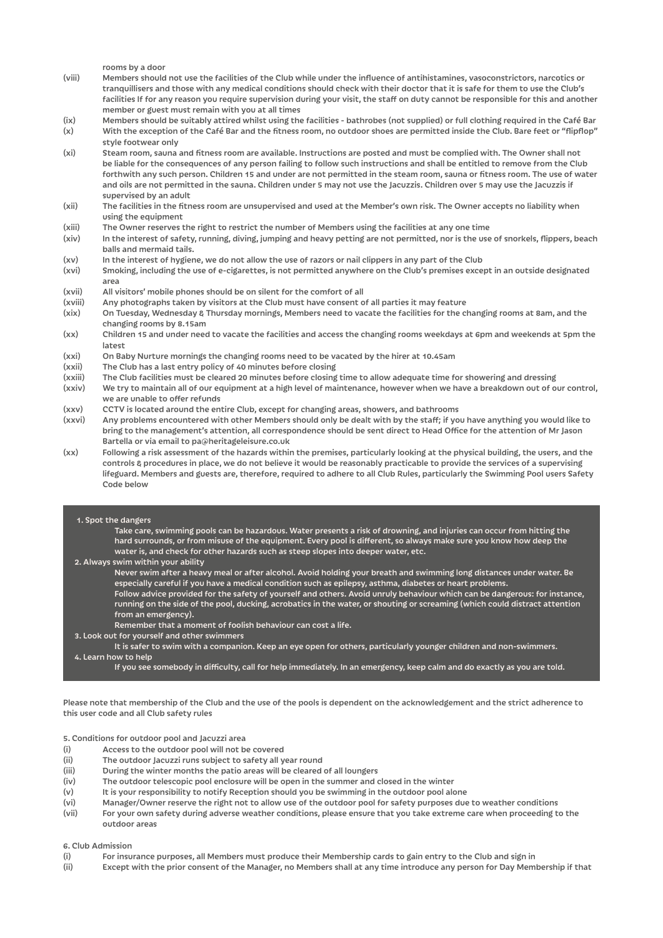rooms by a door

- (viii) Members should not use the facilities of the Club while under the influence of antihistamines, vasoconstrictors, narcotics or tranquillisers and those with any medical conditions should check with their doctor that it is safe for them to use the Club's facilities If for any reason you require supervision during your visit, the staff on duty cannot be responsible for this and another member or guest must remain with you at all times
- (ix) Members should be suitably attired whilst using the facilities bathrobes (not supplied) or full clothing required in the Café Bar (x) With the exception of the Café Bar and the fitness room, no outdoor shoes are permitted inside the Club. Bare feet or "flipflop"
- style footwear only (xi) Steam room, sauna and fitness room are available. Instructions are posted and must be complied with. The Owner shall not be liable for the consequences of any person failing to follow such instructions and shall be entitled to remove from the Club forthwith any such person. Children 15 and under are not permitted in the steam room, sauna or fitness room. The use of water and oils are not permitted in the sauna. Children under 5 may not use the Jacuzzis. Children over 5 may use the Jacuzzis if supervised by an adult
- (xii) The facilities in the fitness room are unsupervised and used at the Member's own risk. The Owner accepts no liability when using the equipment
- (xiii) The Owner reserves the right to restrict the number of Members using the facilities at any one time
- (xiv) In the interest of safety, running, diving, jumping and heavy petting are not permitted, nor is the use of snorkels, flippers, beach balls and mermaid tails.
- (xv) In the interest of hygiene, we do not allow the use of razors or nail clippers in any part of the Club
- (xvi) Smoking, including the use of e-cigarettes, is not permitted anywhere on the Club's premises except in an outside designated area
- (xvii) All visitors' mobile phones should be on silent for the comfort of all
- (xviii) Any photographs taken by visitors at the Club must have consent of all parties it may feature
- (xix) On Tuesday, Wednesday & Thursday mornings, Members need to vacate the facilities for the changing rooms at 8am, and the changing rooms by 8.15am
- (xx) Children 15 and under need to vacate the facilities and access the changing rooms weekdays at 6pm and weekends at 5pm the latest
- (xxi) On Baby Nurture mornings the changing rooms need to be vacated by the hirer at 10.45am
- (xxii) The Club has a last entry policy of 40 minutes before closing
- (xxiii) The Club facilities must be cleared 20 minutes before closing time to allow adequate time for showering and dressing
- (xxiv) We try to maintain all of our equipment at a high level of maintenance, however when we have a breakdown out of our control, we are unable to offer refunds
- (xxv) CCTV is located around the entire Club, except for changing areas, showers, and bathrooms
- (xxvi) Any problems encountered with other Members should only be dealt with by the staff; if you have anything you would like to bring to the management's attention, all correspondence should be sent direct to Head Office for the attention of Mr Jason Bartella or via email to pa@heritageleisure.co.uk
- (xx) Following a risk assessment of the hazards within the premises, particularly looking at the physical building, the users, and the controls & procedures in place, we do not believe it would be reasonably practicable to provide the services of a supervising lifeguard. Members and guests are, therefore, required to adhere to all Club Rules, particularly the Swimming Pool users Safety Code below

#### 1. Spot the dangers

Take care, swimming pools can be hazardous. Water presents a risk of drowning, and injuries can occur from hitting the hard surrounds, or from misuse of the equipment. Every pool is different, so always make sure you know how deep the water is, and check for other hazards such as steep slopes into deeper water, etc.

- 2. Always swim within your ability
	- Never swim after a heavy meal or after alcohol. Avoid holding your breath and swimming long distances under water. Be especially careful if you have a medical condition such as epilepsy, asthma, diabetes or heart problems. Follow advice provided for the safety of yourself and others. Avoid unruly behaviour which can be dangerous: for instance,
	- running on the side of the pool, ducking, acrobatics in the water, or shouting or screaming (which could distract attention from an emergency).
- Remember that a moment of foolish behaviour can cost a life.
- 3. Look out for yourself and other swimmers
- It is safer to swim with a companion. Keep an eye open for others, particularly younger children and non-swimmers. 4. Learn how to help
	- If you see somebody in difficulty, call for help immediately. In an emergency, keep calm and do exactly as you are told.

Please note that membership of the Club and the use of the pools is dependent on the acknowledgement and the strict adherence to this user code and all Club safety rules

5. Conditions for outdoor pool and Jacuzzi area

- (i) Access to the outdoor pool will not be covered
- (ii) The outdoor Jacuzzi runs subject to safety all year round
- (iii) During the winter months the patio areas will be cleared of all loungers
- (iv) The outdoor telescopic pool enclosure will be open in the summer and closed in the winter
- (v) It is your responsibility to notify Reception should you be swimming in the outdoor pool alone
- (vi) Manager/Owner reserve the right not to allow use of the outdoor pool for safety purposes due to weather conditions
- (vii) For your own safety during adverse weather conditions, please ensure that you take extreme care when proceeding to the outdoor areas

#### 6. Club Admission

- (i) For insurance purposes, all Members must produce their Membership cards to gain entry to the Club and sign in
- (ii) Except with the prior consent of the Manager, no Members shall at any time introduce any person for Day Membership if that